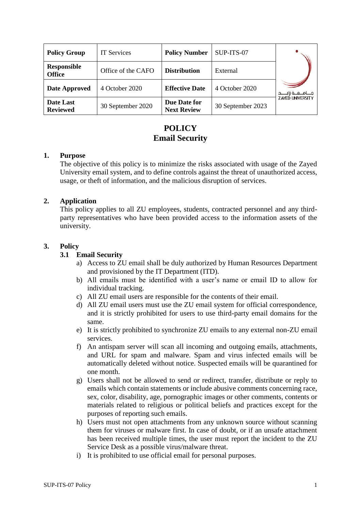| <b>Policy Group</b>                 | <b>IT Services</b> | <b>Policy Number</b>               | SUP-ITS-07        |                         |
|-------------------------------------|--------------------|------------------------------------|-------------------|-------------------------|
| <b>Responsible</b><br><b>Office</b> | Office of the CAFO | <b>Distribution</b>                | External          |                         |
| Date Approved                       | 4 October 2020     | <b>Effective Date</b>              | 4 October 2020    | جـــامــعـــة زايــ     |
| Date Last<br><b>Reviewed</b>        | 30 September 2020  | Due Date for<br><b>Next Review</b> | 30 September 2023 | <b>ZAYED UNIVERSITY</b> |

# **POLICY Email Security**

#### **1. Purpose**

The objective of this policy is to minimize the risks associated with usage of the Zayed University email system, and to define controls against the threat of unauthorized access, usage, or theft of information, and the malicious disruption of services.

# **2. Application**

This policy applies to all ZU employees, students, contracted personnel and any thirdparty representatives who have been provided access to the information assets of the university.

# **3. Policy**

# **3.1 Email Security**

- a) Access to ZU email shall be duly authorized by Human Resources Department and provisioned by the IT Department (ITD).
- b) All emails must be identified with a user's name or email ID to allow for individual tracking.
- c) All ZU email users are responsible for the contents of their email.
- d) All ZU email users must use the ZU email system for official correspondence, and it is strictly prohibited for users to use third-party email domains for the same.
- e) It is strictly prohibited to synchronize ZU emails to any external non-ZU email services.
- f) An antispam server will scan all incoming and outgoing emails, attachments, and URL for spam and malware. Spam and virus infected emails will be automatically deleted without notice. Suspected emails will be quarantined for one month.
- g) Users shall not be allowed to send or redirect, transfer, distribute or reply to emails which contain statements or include abusive comments concerning race, sex, color, disability, age, pornographic images or other comments, contents or materials related to religious or political beliefs and practices except for the purposes of reporting such emails.
- h) Users must not open attachments from any unknown source without scanning them for viruses or malware first. In case of doubt, or if an unsafe attachment has been received multiple times, the user must report the incident to the ZU Service Desk as a possible virus/malware threat.
- i) It is prohibited to use official email for personal purposes.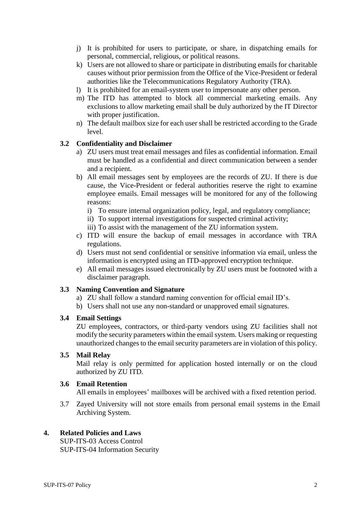- j) It is prohibited for users to participate, or share, in dispatching emails for personal, commercial, religious, or political reasons.
- k) Users are not allowed to share or participate in distributing emails for charitable causes without prior permission from the Office of the Vice-President or federal authorities like the Telecommunications Regulatory Authority (TRA).
- l) It is prohibited for an email-system user to impersonate any other person.
- m) The ITD has attempted to block all commercial marketing emails. Any exclusions to allow marketing email shall be duly authorized by the IT Director with proper justification.
- n) The default mailbox size for each user shall be restricted according to the Grade level.

#### **3.2 Confidentiality and Disclaimer**

- a) ZU users must treat email messages and files as confidential information. Email must be handled as a confidential and direct communication between a sender and a recipient.
- b) All email messages sent by employees are the records of ZU. If there is due cause, the Vice-President or federal authorities reserve the right to examine employee emails. Email messages will be monitored for any of the following reasons:
	- i) To ensure internal organization policy, legal, and regulatory compliance;
	- ii) To support internal investigations for suspected criminal activity;
	- iii) To assist with the management of the ZU information system.
- c) ITD will ensure the backup of email messages in accordance with TRA regulations.
- d) Users must not send confidential or sensitive information via email, unless the information is encrypted using an ITD-approved encryption technique.
- e) All email messages issued electronically by ZU users must be footnoted with a disclaimer paragraph.

#### **3.3 Naming Convention and Signature**

- a) ZU shall follow a standard naming convention for official email ID's.
- b) Users shall not use any non-standard or unapproved email signatures.

#### **3.4 Email Settings**

ZU employees, contractors, or third-party vendors using ZU facilities shall not modify the security parameters within the email system. Users making or requesting unauthorized changes to the email security parameters are in violation of this policy.

#### **3.5 Mail Relay**

Mail relay is only permitted for application hosted internally or on the cloud authorized by ZU ITD.

### **3.6 Email Retention**

All emails in employees' mailboxes will be archived with a fixed retention period.

3.7 Zayed University will not store emails from personal email systems in the Email Archiving System.

#### **4. Related Policies and Laws**

SUP-ITS-03 Access Control SUP-ITS-04 Information Security